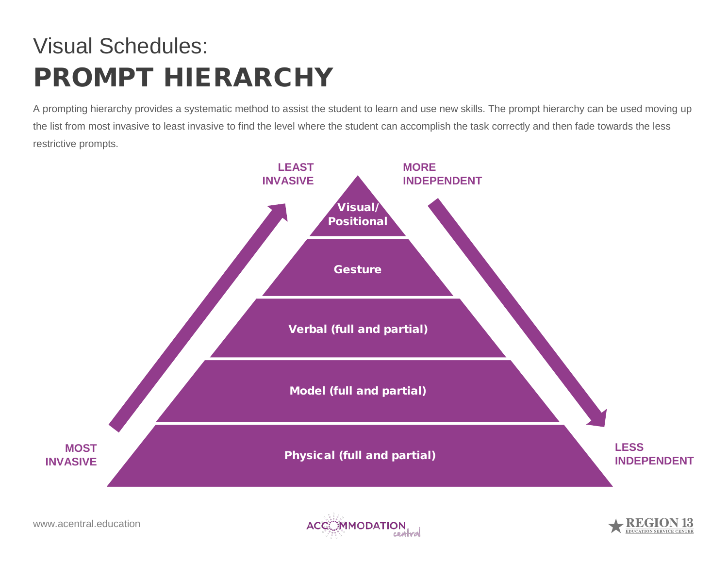## Visual Schedules: PROMPT HIERARCHY

A prompting hierarchy provides a systematic method to assist the student to learn and use new skills. The prompt hierarchy can be used moving up the list from most invasive to least invasive to find the level where the student can accomplish the task correctly and then fade towards the less restrictive prompts.